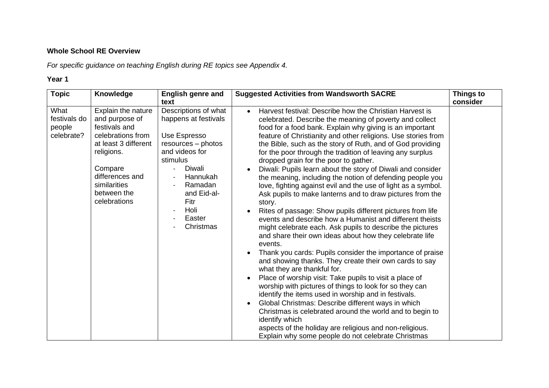# **Whole School RE Overview**

*For specific guidance on teaching English during RE topics see Appendix 4.*

| <b>Topic</b>                                 | Knowledge                                                                                                                                                                                     | <b>English genre and</b>                                                                                                                                                                                | <b>Suggested Activities from Wandsworth SACRE</b>                                                                                                                                                                                                                                                                                                                                                                                                                                                                                                                                                                                                                                                                                                                                                                                                                                                                                                                                                                                                                                                                                                                                                                                                                                                                                                                                                                                                                                                                                                          | <b>Things to</b> |
|----------------------------------------------|-----------------------------------------------------------------------------------------------------------------------------------------------------------------------------------------------|---------------------------------------------------------------------------------------------------------------------------------------------------------------------------------------------------------|------------------------------------------------------------------------------------------------------------------------------------------------------------------------------------------------------------------------------------------------------------------------------------------------------------------------------------------------------------------------------------------------------------------------------------------------------------------------------------------------------------------------------------------------------------------------------------------------------------------------------------------------------------------------------------------------------------------------------------------------------------------------------------------------------------------------------------------------------------------------------------------------------------------------------------------------------------------------------------------------------------------------------------------------------------------------------------------------------------------------------------------------------------------------------------------------------------------------------------------------------------------------------------------------------------------------------------------------------------------------------------------------------------------------------------------------------------------------------------------------------------------------------------------------------------|------------------|
|                                              |                                                                                                                                                                                               | text                                                                                                                                                                                                    |                                                                                                                                                                                                                                                                                                                                                                                                                                                                                                                                                                                                                                                                                                                                                                                                                                                                                                                                                                                                                                                                                                                                                                                                                                                                                                                                                                                                                                                                                                                                                            | consider         |
| What<br>festivals do<br>people<br>celebrate? | Explain the nature<br>and purpose of<br>festivals and<br>celebrations from<br>at least 3 different<br>religions.<br>Compare<br>differences and<br>similarities<br>between the<br>celebrations | Descriptions of what<br>happens at festivals<br>Use Espresso<br>resources - photos<br>and videos for<br>stimulus<br>Diwali<br>Hannukah<br>Ramadan<br>and Eid-al-<br>Fitr<br>Holi<br>Easter<br>Christmas | Harvest festival: Describe how the Christian Harvest is<br>$\bullet$<br>celebrated. Describe the meaning of poverty and collect<br>food for a food bank. Explain why giving is an important<br>feature of Christianity and other religions. Use stories from<br>the Bible, such as the story of Ruth, and of God providing<br>for the poor through the tradition of leaving any surplus<br>dropped grain for the poor to gather.<br>Diwali: Pupils learn about the story of Diwali and consider<br>the meaning, including the notion of defending people you<br>love, fighting against evil and the use of light as a symbol.<br>Ask pupils to make lanterns and to draw pictures from the<br>story.<br>Rites of passage: Show pupils different pictures from life<br>events and describe how a Humanist and different theists<br>might celebrate each. Ask pupils to describe the pictures<br>and share their own ideas about how they celebrate life<br>events.<br>Thank you cards: Pupils consider the importance of praise<br>and showing thanks. They create their own cards to say<br>what they are thankful for.<br>Place of worship visit: Take pupils to visit a place of<br>worship with pictures of things to look for so they can<br>identify the items used in worship and in festivals.<br>Global Christmas: Describe different ways in which<br>Christmas is celebrated around the world and to begin to<br>identify which<br>aspects of the holiday are religious and non-religious.<br>Explain why some people do not celebrate Christmas |                  |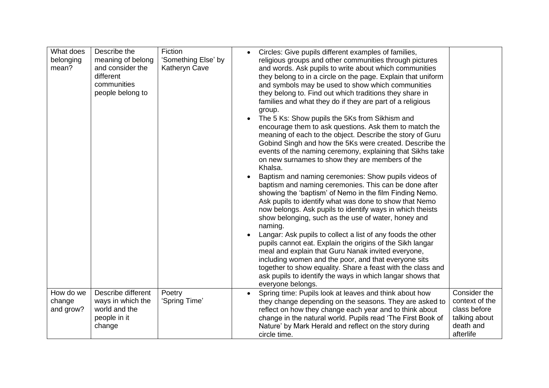| What does<br>belonging<br>mean?  | Describe the<br>meaning of belong<br>and consider the<br>different<br>communities<br>people belong to | Fiction<br>'Something Else' by<br>Katheryn Cave | Circles: Give pupils different examples of families,<br>$\bullet$<br>religious groups and other communities through pictures<br>and words. Ask pupils to write about which communities<br>they belong to in a circle on the page. Explain that uniform<br>and symbols may be used to show which communities<br>they belong to. Find out which traditions they share in<br>families and what they do if they are part of a religious<br>group.<br>The 5 Ks: Show pupils the 5Ks from Sikhism and<br>encourage them to ask questions. Ask them to match the<br>meaning of each to the object. Describe the story of Guru<br>Gobind Singh and how the 5Ks were created. Describe the<br>events of the naming ceremony, explaining that Sikhs take<br>on new surnames to show they are members of the<br>Khalsa.<br>Baptism and naming ceremonies: Show pupils videos of<br>baptism and naming ceremonies. This can be done after<br>showing the 'baptism' of Nemo in the film Finding Nemo.<br>Ask pupils to identify what was done to show that Nemo<br>now belongs. Ask pupils to identify ways in which theists<br>show belonging, such as the use of water, honey and<br>naming.<br>Langar: Ask pupils to collect a list of any foods the other<br>pupils cannot eat. Explain the origins of the Sikh langar<br>meal and explain that Guru Nanak invited everyone,<br>including women and the poor, and that everyone sits<br>together to show equality. Share a feast with the class and<br>ask pupils to identify the ways in which langar shows that<br>everyone belongs. |                                                                                           |
|----------------------------------|-------------------------------------------------------------------------------------------------------|-------------------------------------------------|-------------------------------------------------------------------------------------------------------------------------------------------------------------------------------------------------------------------------------------------------------------------------------------------------------------------------------------------------------------------------------------------------------------------------------------------------------------------------------------------------------------------------------------------------------------------------------------------------------------------------------------------------------------------------------------------------------------------------------------------------------------------------------------------------------------------------------------------------------------------------------------------------------------------------------------------------------------------------------------------------------------------------------------------------------------------------------------------------------------------------------------------------------------------------------------------------------------------------------------------------------------------------------------------------------------------------------------------------------------------------------------------------------------------------------------------------------------------------------------------------------------------------------------------------------------------------------|-------------------------------------------------------------------------------------------|
| How do we<br>change<br>and grow? | Describe different<br>ways in which the<br>world and the<br>people in it<br>change                    | Poetry<br>'Spring Time'                         | Spring time: Pupils look at leaves and think about how<br>they change depending on the seasons. They are asked to<br>reflect on how they change each year and to think about<br>change in the natural world. Pupils read 'The First Book of<br>Nature' by Mark Herald and reflect on the story during<br>circle time.                                                                                                                                                                                                                                                                                                                                                                                                                                                                                                                                                                                                                                                                                                                                                                                                                                                                                                                                                                                                                                                                                                                                                                                                                                                         | Consider the<br>context of the<br>class before<br>talking about<br>death and<br>afterlife |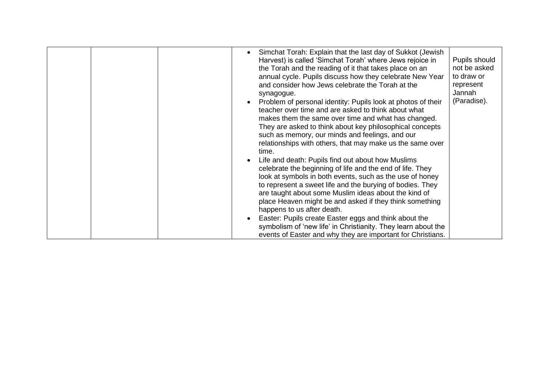| Jannah<br>synagogue.<br>(Paradise).<br>Problem of personal identity: Pupils look at photos of their<br>teacher over time and are asked to think about what<br>makes them the same over time and what has changed.<br>They are asked to think about key philosophical concepts<br>such as memory, our minds and feelings, and our<br>relationships with others, that may make us the same over<br>time.<br>Life and death: Pupils find out about how Muslims<br>celebrate the beginning of life and the end of life. They<br>look at symbols in both events, such as the use of honey<br>to represent a sweet life and the burying of bodies. They<br>are taught about some Muslim ideas about the kind of<br>place Heaven might be and asked if they think something<br>happens to us after death.<br>Easter: Pupils create Easter eggs and think about the<br>symbolism of 'new life' in Christianity. They learn about the<br>events of Easter and why they are important for Christians. |  |
|---------------------------------------------------------------------------------------------------------------------------------------------------------------------------------------------------------------------------------------------------------------------------------------------------------------------------------------------------------------------------------------------------------------------------------------------------------------------------------------------------------------------------------------------------------------------------------------------------------------------------------------------------------------------------------------------------------------------------------------------------------------------------------------------------------------------------------------------------------------------------------------------------------------------------------------------------------------------------------------------|--|
|---------------------------------------------------------------------------------------------------------------------------------------------------------------------------------------------------------------------------------------------------------------------------------------------------------------------------------------------------------------------------------------------------------------------------------------------------------------------------------------------------------------------------------------------------------------------------------------------------------------------------------------------------------------------------------------------------------------------------------------------------------------------------------------------------------------------------------------------------------------------------------------------------------------------------------------------------------------------------------------------|--|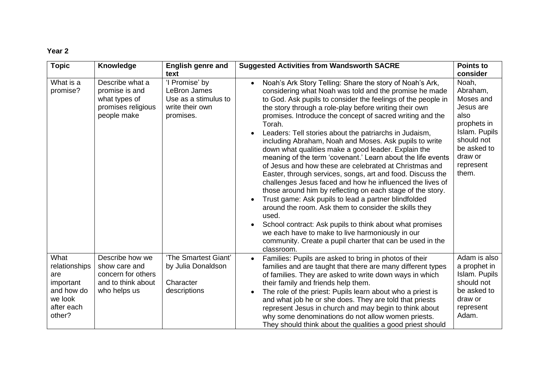| <b>Topic</b>                                                                               | Knowledge                                                                                    | <b>English genre and</b><br>text                                                       | <b>Suggested Activities from Wandsworth SACRE</b>                                                                                                                                                                                                                                                                                                                                                                                                                                                                                                                                                                                                                                                                                                                                                                                                                                                                                                                                                                                                                                                                                     | <b>Points to</b><br>consider                                                                                                                      |
|--------------------------------------------------------------------------------------------|----------------------------------------------------------------------------------------------|----------------------------------------------------------------------------------------|---------------------------------------------------------------------------------------------------------------------------------------------------------------------------------------------------------------------------------------------------------------------------------------------------------------------------------------------------------------------------------------------------------------------------------------------------------------------------------------------------------------------------------------------------------------------------------------------------------------------------------------------------------------------------------------------------------------------------------------------------------------------------------------------------------------------------------------------------------------------------------------------------------------------------------------------------------------------------------------------------------------------------------------------------------------------------------------------------------------------------------------|---------------------------------------------------------------------------------------------------------------------------------------------------|
| What is a<br>promise?                                                                      | Describe what a<br>promise is and<br>what types of<br>promises religious<br>people make      | 'I Promise' by<br>LeBron James<br>Use as a stimulus to<br>write their own<br>promises. | Noah's Ark Story Telling: Share the story of Noah's Ark,<br>considering what Noah was told and the promise he made<br>to God. Ask pupils to consider the feelings of the people in<br>the story through a role-play before writing their own<br>promises. Introduce the concept of sacred writing and the<br>Torah.<br>Leaders: Tell stories about the patriarchs in Judaism,<br>including Abraham, Noah and Moses. Ask pupils to write<br>down what qualities make a good leader. Explain the<br>meaning of the term 'covenant.' Learn about the life events<br>of Jesus and how these are celebrated at Christmas and<br>Easter, through services, songs, art and food. Discuss the<br>challenges Jesus faced and how he influenced the lives of<br>those around him by reflecting on each stage of the story.<br>Trust game: Ask pupils to lead a partner blindfolded<br>around the room. Ask them to consider the skills they<br>used.<br>School contract: Ask pupils to think about what promises<br>we each have to make to live harmoniously in our<br>community. Create a pupil charter that can be used in the<br>classroom. | Noah,<br>Abraham,<br>Moses and<br>Jesus are<br>also<br>prophets in<br>Islam. Pupils<br>should not<br>be asked to<br>draw or<br>represent<br>them. |
| What<br>relationships<br>are<br>important<br>and how do<br>we look<br>after each<br>other? | Describe how we<br>show care and<br>concern for others<br>and to think about<br>who helps us | 'The Smartest Giant'<br>by Julia Donaldson<br>Character<br>descriptions                | Families: Pupils are asked to bring in photos of their<br>$\bullet$<br>families and are taught that there are many different types<br>of families. They are asked to write down ways in which<br>their family and friends help them.<br>The role of the priest: Pupils learn about who a priest is<br>and what job he or she does. They are told that priests<br>represent Jesus in church and may begin to think about<br>why some denominations do not allow women priests.<br>They should think about the qualities a good priest should                                                                                                                                                                                                                                                                                                                                                                                                                                                                                                                                                                                           | Adam is also<br>a prophet in<br>Islam. Pupils<br>should not<br>be asked to<br>draw or<br>represent<br>Adam.                                       |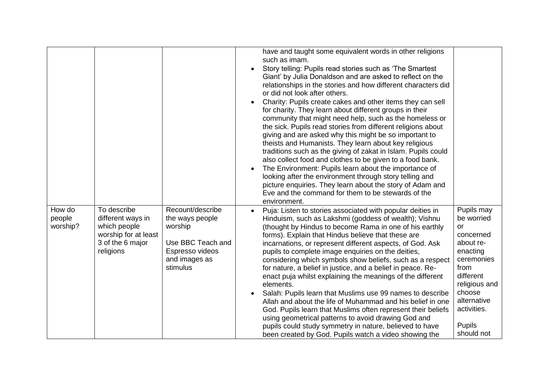|                              |                                                                                                           |                                                                                                                     | have and taught some equivalent words in other religions<br>such as imam.<br>Story telling: Pupils read stories such as 'The Smartest<br>Giant' by Julia Donaldson and are asked to reflect on the<br>relationships in the stories and how different characters did<br>or did not look after others.<br>Charity: Pupils create cakes and other items they can sell<br>for charity. They learn about different groups in their<br>community that might need help, such as the homeless or<br>the sick. Pupils read stories from different religions about<br>giving and are asked why this might be so important to<br>theists and Humanists. They learn about key religious<br>traditions such as the giving of zakat in Islam. Pupils could<br>also collect food and clothes to be given to a food bank.<br>The Environment: Pupils learn about the importance of<br>looking after the environment through story telling and<br>picture enquiries. They learn about the story of Adam and<br>Eve and the command for them to be stewards of the<br>environment. |                                                                                                                                                                                                        |
|------------------------------|-----------------------------------------------------------------------------------------------------------|---------------------------------------------------------------------------------------------------------------------|------------------------------------------------------------------------------------------------------------------------------------------------------------------------------------------------------------------------------------------------------------------------------------------------------------------------------------------------------------------------------------------------------------------------------------------------------------------------------------------------------------------------------------------------------------------------------------------------------------------------------------------------------------------------------------------------------------------------------------------------------------------------------------------------------------------------------------------------------------------------------------------------------------------------------------------------------------------------------------------------------------------------------------------------------------------|--------------------------------------------------------------------------------------------------------------------------------------------------------------------------------------------------------|
| How do<br>people<br>worship? | To describe<br>different ways in<br>which people<br>worship for at least<br>3 of the 6 major<br>religions | Recount/describe<br>the ways people<br>worship<br>Use BBC Teach and<br>Espresso videos<br>and images as<br>stimulus | Puja: Listen to stories associated with popular deities in<br>Hinduism, such as Lakshmi (goddess of wealth); Vishnu<br>(thought by Hindus to become Rama in one of his earthly<br>forms). Explain that Hindus believe that these are<br>incarnations, or represent different aspects, of God. Ask<br>pupils to complete image enquiries on the deities,<br>considering which symbols show beliefs, such as a respect<br>for nature, a belief in justice, and a belief in peace. Re-<br>enact puja whilst explaining the meanings of the different<br>elements.<br>Salah: Pupils learn that Muslims use 99 names to describe<br>Allah and about the life of Muhammad and his belief in one<br>God. Pupils learn that Muslims often represent their beliefs<br>using geometrical patterns to avoid drawing God and<br>pupils could study symmetry in nature, believed to have<br>been created by God. Pupils watch a video showing the                                                                                                                             | Pupils may<br>be worried<br><b>or</b><br>concerned<br>about re-<br>enacting<br>ceremonies<br>from<br>different<br>religious and<br>choose<br>alternative<br>activities.<br><b>Pupils</b><br>should not |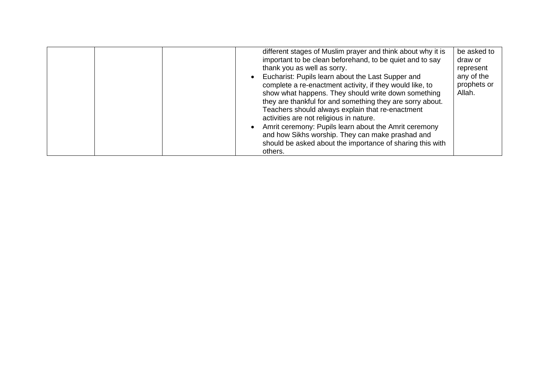|  | different stages of Muslim prayer and think about why it is<br>important to be clean beforehand, to be quiet and to say<br>thank you as well as sorry.<br>Eucharist: Pupils learn about the Last Supper and<br>complete a re-enactment activity, if they would like, to<br>show what happens. They should write down something<br>they are thankful for and something they are sorry about.<br>Teachers should always explain that re-enactment<br>activities are not religious in nature.<br>Amrit ceremony: Pupils learn about the Amrit ceremony<br>and how Sikhs worship. They can make prashad and<br>should be asked about the importance of sharing this with<br>others. | be asked to<br>draw or<br>represent<br>any of the<br>prophets or<br>Allah. |
|--|---------------------------------------------------------------------------------------------------------------------------------------------------------------------------------------------------------------------------------------------------------------------------------------------------------------------------------------------------------------------------------------------------------------------------------------------------------------------------------------------------------------------------------------------------------------------------------------------------------------------------------------------------------------------------------|----------------------------------------------------------------------------|
|--|---------------------------------------------------------------------------------------------------------------------------------------------------------------------------------------------------------------------------------------------------------------------------------------------------------------------------------------------------------------------------------------------------------------------------------------------------------------------------------------------------------------------------------------------------------------------------------------------------------------------------------------------------------------------------------|----------------------------------------------------------------------------|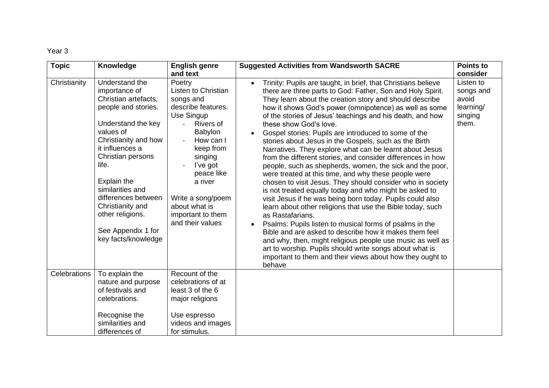| <b>Topic</b>        | Knowledge                                                                                                                                                                                                                                                                                                                                 | <b>English genre</b>                                                                                                                                                                                                                                                                      | <b>Suggested Activities from Wandsworth SACRE</b>                                                                                                                                                                                                                                                                                                                                                                                                                                                                                                                                                                                                                                                                                                                                                                                                                                                                                                                                                                                                                                                                                                                                                                                                                                                  | <b>Points to</b>                                                             |
|---------------------|-------------------------------------------------------------------------------------------------------------------------------------------------------------------------------------------------------------------------------------------------------------------------------------------------------------------------------------------|-------------------------------------------------------------------------------------------------------------------------------------------------------------------------------------------------------------------------------------------------------------------------------------------|----------------------------------------------------------------------------------------------------------------------------------------------------------------------------------------------------------------------------------------------------------------------------------------------------------------------------------------------------------------------------------------------------------------------------------------------------------------------------------------------------------------------------------------------------------------------------------------------------------------------------------------------------------------------------------------------------------------------------------------------------------------------------------------------------------------------------------------------------------------------------------------------------------------------------------------------------------------------------------------------------------------------------------------------------------------------------------------------------------------------------------------------------------------------------------------------------------------------------------------------------------------------------------------------------|------------------------------------------------------------------------------|
| Christianity        | Understand the<br>importance of<br>Christian artefacts,<br>people and stories.<br>Understand the key<br>values of<br>Christianity and how<br>it influences a<br>Christian persons<br>life.<br>Explain the<br>similarities and<br>differences between<br>Christianity and<br>other religions.<br>See Appendix 1 for<br>key facts/knowledge | and text<br>Poetry<br>Listen to Christian<br>songs and<br>describe features.<br>Use Singup<br><b>Rivers of</b><br><b>Babylon</b><br>How can I<br>keep from<br>singing<br>l've got<br>peace like<br>a river<br>Write a song/poem<br>about what is<br>important to them<br>and their values | Trinity: Pupils are taught, in brief, that Christians believe<br>there are three parts to God: Father, Son and Holy Spirit.<br>They learn about the creation story and should describe<br>how it shows God's power (omnipotence) as well as some<br>of the stories of Jesus' teachings and his death, and how<br>these show God's love.<br>Gospel stories: Pupils are introduced to some of the<br>stories about Jesus in the Gospels, such as the Birth<br>Narratives. They explore what can be learnt about Jesus<br>from the different stories, and consider differences in how<br>people, such as shepherds, women, the sick and the poor,<br>were treated at this time, and why these people were<br>chosen to visit Jesus. They should consider who in society<br>is not treated equally today and who might be asked to<br>visit Jesus if he was being born today. Pupils could also<br>learn about other religions that use the Bible today, such<br>as Rastafarians.<br>Psalms: Pupils listen to musical forms of psalms in the<br>Bible and are asked to describe how it makes them feel<br>and why, then, might religious people use music as well as<br>art to worship. Pupils should write songs about what is<br>important to them and their views about how they ought to<br>behave | consider<br>Listen to<br>songs and<br>avoid<br>learning/<br>singing<br>them. |
| <b>Celebrations</b> | To explain the<br>nature and purpose<br>of festivals and<br>celebrations.<br>Recognise the<br>similarities and<br>differences of                                                                                                                                                                                                          | Recount of the<br>celebrations of at<br>least 3 of the 6<br>major religions<br>Use espresso<br>videos and images<br>for stimulus.                                                                                                                                                         |                                                                                                                                                                                                                                                                                                                                                                                                                                                                                                                                                                                                                                                                                                                                                                                                                                                                                                                                                                                                                                                                                                                                                                                                                                                                                                    |                                                                              |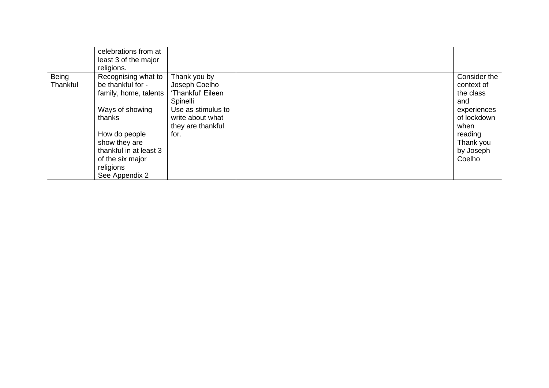|          | celebrations from at   |                    |              |
|----------|------------------------|--------------------|--------------|
|          | least 3 of the major   |                    |              |
|          | religions.             |                    |              |
| Being    | Recognising what to    | Thank you by       | Consider the |
| Thankful | be thankful for -      | Joseph Coelho      | context of   |
|          | family, home, talents  | 'Thankful' Eileen  | the class    |
|          |                        | Spinelli           | and          |
|          | Ways of showing        | Use as stimulus to | experiences  |
|          | thanks                 | write about what   | of lockdown  |
|          |                        | they are thankful  | when         |
|          | How do people          | for.               | reading      |
|          | show they are          |                    | Thank you    |
|          | thankful in at least 3 |                    | by Joseph    |
|          | of the six major       |                    | Coelho       |
|          | religions              |                    |              |
|          | See Appendix 2         |                    |              |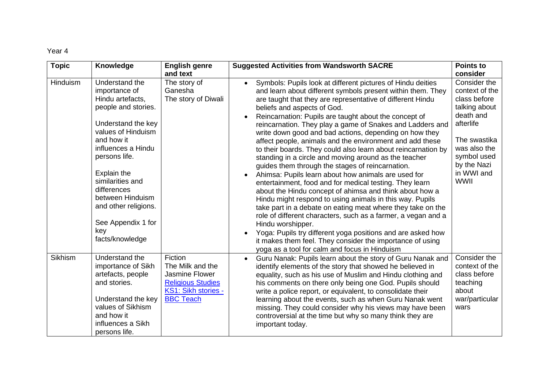| <b>Topic</b>   | Knowledge                                                                                                                                                                                                                                                                                                                        | <b>English genre</b>                                                                                                 | <b>Suggested Activities from Wandsworth SACRE</b>                                                                                                                                                                                                                                                                                                                                                                                                                                                                                                                                                                                                                                                                                                                                                                                                                                                                                                                                                                                                                                                                                                                                                                                         | <b>Points to</b>                                                                                                                                                                                 |
|----------------|----------------------------------------------------------------------------------------------------------------------------------------------------------------------------------------------------------------------------------------------------------------------------------------------------------------------------------|----------------------------------------------------------------------------------------------------------------------|-------------------------------------------------------------------------------------------------------------------------------------------------------------------------------------------------------------------------------------------------------------------------------------------------------------------------------------------------------------------------------------------------------------------------------------------------------------------------------------------------------------------------------------------------------------------------------------------------------------------------------------------------------------------------------------------------------------------------------------------------------------------------------------------------------------------------------------------------------------------------------------------------------------------------------------------------------------------------------------------------------------------------------------------------------------------------------------------------------------------------------------------------------------------------------------------------------------------------------------------|--------------------------------------------------------------------------------------------------------------------------------------------------------------------------------------------------|
| Hinduism       | Understand the<br>importance of<br>Hindu artefacts,<br>people and stories.<br>Understand the key<br>values of Hinduism<br>and how it<br>influences a Hindu<br>persons life.<br><b>Explain the</b><br>similarities and<br>differences<br>between Hinduism<br>and other religions.<br>See Appendix 1 for<br>key<br>facts/knowledge | and text<br>The story of<br>Ganesha<br>The story of Diwali                                                           | Symbols: Pupils look at different pictures of Hindu deities<br>$\bullet$<br>and learn about different symbols present within them. They<br>are taught that they are representative of different Hindu<br>beliefs and aspects of God.<br>Reincarnation: Pupils are taught about the concept of<br>reincarnation. They play a game of Snakes and Ladders and<br>write down good and bad actions, depending on how they<br>affect people, animals and the environment and add these<br>to their boards. They could also learn about reincarnation by<br>standing in a circle and moving around as the teacher<br>guides them through the stages of reincarnation.<br>Ahimsa: Pupils learn about how animals are used for<br>entertainment, food and for medical testing. They learn<br>about the Hindu concept of ahimsa and think about how a<br>Hindu might respond to using animals in this way. Pupils<br>take part in a debate on eating meat where they take on the<br>role of different characters, such as a farmer, a vegan and a<br>Hindu worshipper.<br>Yoga: Pupils try different yoga positions and are asked how<br>it makes them feel. They consider the importance of using<br>yoga as a tool for calm and focus in Hinduism | consider<br>Consider the<br>context of the<br>class before<br>talking about<br>death and<br>afterlife<br>The swastika<br>was also the<br>symbol used<br>by the Nazi<br>in WWI and<br><b>WWII</b> |
| <b>Sikhism</b> | Understand the<br>importance of Sikh<br>artefacts, people<br>and stories.<br>Understand the key<br>values of Sikhism<br>and how it<br>influences a Sikh<br>persons life.                                                                                                                                                         | Fiction<br>The Milk and the<br>Jasmine Flower<br><b>Religious Studies</b><br>KS1: Sikh stories -<br><b>BBC Teach</b> | Guru Nanak: Pupils learn about the story of Guru Nanak and<br>identify elements of the story that showed he believed in<br>equality, such as his use of Muslim and Hindu clothing and<br>his comments on there only being one God. Pupils should<br>write a police report, or equivalent, to consolidate their<br>learning about the events, such as when Guru Nanak went<br>missing. They could consider why his views may have been<br>controversial at the time but why so many think they are<br>important today.                                                                                                                                                                                                                                                                                                                                                                                                                                                                                                                                                                                                                                                                                                                     | Consider the<br>context of the<br>class before<br>teaching<br>about<br>war/particular<br>wars                                                                                                    |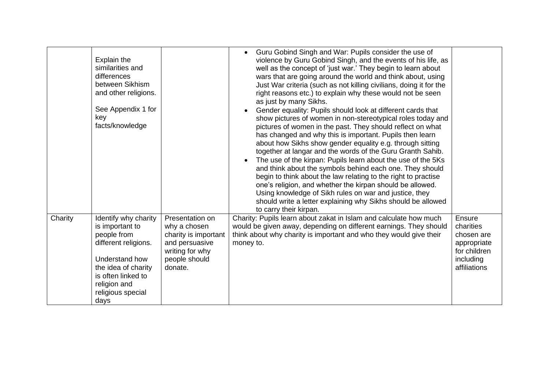|         | Explain the<br>similarities and<br>differences<br>between Sikhism<br>and other religions.<br>See Appendix 1 for<br>key<br>facts/knowledge                                                  |                                                                                                                          | Guru Gobind Singh and War: Pupils consider the use of<br>$\bullet$<br>violence by Guru Gobind Singh, and the events of his life, as<br>well as the concept of 'just war.' They begin to learn about<br>wars that are going around the world and think about, using<br>Just War criteria (such as not killing civilians, doing it for the<br>right reasons etc.) to explain why these would not be seen<br>as just by many Sikhs.<br>Gender equality: Pupils should look at different cards that<br>$\bullet$<br>show pictures of women in non-stereotypical roles today and<br>pictures of women in the past. They should reflect on what<br>has changed and why this is important. Pupils then learn<br>about how Sikhs show gender equality e.g. through sitting<br>together at langar and the words of the Guru Granth Sahib.<br>The use of the kirpan: Pupils learn about the use of the 5Ks<br>$\bullet$<br>and think about the symbols behind each one. They should<br>begin to think about the law relating to the right to practise<br>one's religion, and whether the kirpan should be allowed.<br>Using knowledge of Sikh rules on war and justice, they<br>should write a letter explaining why Sikhs should be allowed<br>to carry their kirpan. |                                                                                               |
|---------|--------------------------------------------------------------------------------------------------------------------------------------------------------------------------------------------|--------------------------------------------------------------------------------------------------------------------------|--------------------------------------------------------------------------------------------------------------------------------------------------------------------------------------------------------------------------------------------------------------------------------------------------------------------------------------------------------------------------------------------------------------------------------------------------------------------------------------------------------------------------------------------------------------------------------------------------------------------------------------------------------------------------------------------------------------------------------------------------------------------------------------------------------------------------------------------------------------------------------------------------------------------------------------------------------------------------------------------------------------------------------------------------------------------------------------------------------------------------------------------------------------------------------------------------------------------------------------------------------------|-----------------------------------------------------------------------------------------------|
| Charity | Identify why charity<br>is important to<br>people from<br>different religions.<br>Understand how<br>the idea of charity<br>is often linked to<br>religion and<br>religious special<br>days | Presentation on<br>why a chosen<br>charity is important<br>and persuasive<br>writing for why<br>people should<br>donate. | Charity: Pupils learn about zakat in Islam and calculate how much<br>would be given away, depending on different earnings. They should<br>think about why charity is important and who they would give their<br>money to.                                                                                                                                                                                                                                                                                                                                                                                                                                                                                                                                                                                                                                                                                                                                                                                                                                                                                                                                                                                                                                    | Ensure<br>charities<br>chosen are<br>appropriate<br>for children<br>including<br>affiliations |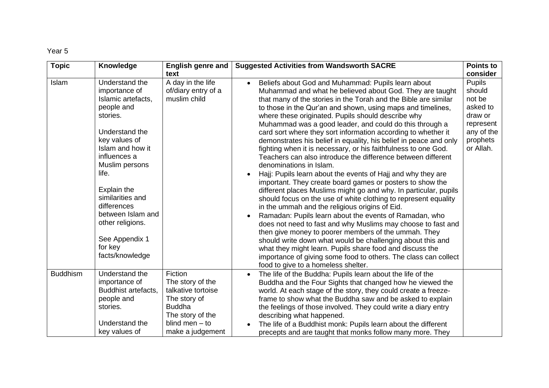| <b>Topic</b>    | Knowledge                                                                                                                                                                                                                                                                                                                    | <b>English genre and</b>                                                                                                                       | <b>Suggested Activities from Wandsworth SACRE</b>                                                                                                                                                                                                                                                                                                                                                                                                                                                                                                                                                                                                                                                                                                                                                                                                                                                                                                                                                                                                                                                                                                                                                                                                                                                                                                                                                                | <b>Points to</b>                                                                                             |
|-----------------|------------------------------------------------------------------------------------------------------------------------------------------------------------------------------------------------------------------------------------------------------------------------------------------------------------------------------|------------------------------------------------------------------------------------------------------------------------------------------------|------------------------------------------------------------------------------------------------------------------------------------------------------------------------------------------------------------------------------------------------------------------------------------------------------------------------------------------------------------------------------------------------------------------------------------------------------------------------------------------------------------------------------------------------------------------------------------------------------------------------------------------------------------------------------------------------------------------------------------------------------------------------------------------------------------------------------------------------------------------------------------------------------------------------------------------------------------------------------------------------------------------------------------------------------------------------------------------------------------------------------------------------------------------------------------------------------------------------------------------------------------------------------------------------------------------------------------------------------------------------------------------------------------------|--------------------------------------------------------------------------------------------------------------|
|                 |                                                                                                                                                                                                                                                                                                                              | text                                                                                                                                           |                                                                                                                                                                                                                                                                                                                                                                                                                                                                                                                                                                                                                                                                                                                                                                                                                                                                                                                                                                                                                                                                                                                                                                                                                                                                                                                                                                                                                  | consider                                                                                                     |
| Islam           | Understand the<br>importance of<br>Islamic artefacts,<br>people and<br>stories.<br>Understand the<br>key values of<br>Islam and how it<br>influences a<br>Muslim persons<br>life.<br>Explain the<br>similarities and<br>differences<br>between Islam and<br>other religions.<br>See Appendix 1<br>for key<br>facts/knowledge | A day in the life<br>of/diary entry of a<br>muslim child                                                                                       | Beliefs about God and Muhammad: Pupils learn about<br>Muhammad and what he believed about God. They are taught<br>that many of the stories in the Torah and the Bible are similar<br>to those in the Qur'an and shown, using maps and timelines,<br>where these originated. Pupils should describe why<br>Muhammad was a good leader, and could do this through a<br>card sort where they sort information according to whether it<br>demonstrates his belief in equality, his belief in peace and only<br>fighting when it is necessary, or his faithfulness to one God.<br>Teachers can also introduce the difference between different<br>denominations in Islam.<br>Hajj: Pupils learn about the events of Hajj and why they are<br>important. They create board games or posters to show the<br>different places Muslims might go and why. In particular, pupils<br>should focus on the use of white clothing to represent equality<br>in the ummah and the religious origins of Eid.<br>Ramadan: Pupils learn about the events of Ramadan, who<br>does not need to fast and why Muslims may choose to fast and<br>then give money to poorer members of the ummah. They<br>should write down what would be challenging about this and<br>what they might learn. Pupils share food and discuss the<br>importance of giving some food to others. The class can collect<br>food to give to a homeless shelter. | <b>Pupils</b><br>should<br>not be<br>asked to<br>draw or<br>represent<br>any of the<br>prophets<br>or Allah. |
| <b>Buddhism</b> | Understand the<br>importance of<br>Buddhist artefacts,<br>people and<br>stories.<br>Understand the<br>key values of                                                                                                                                                                                                          | Fiction<br>The story of the<br>talkative tortoise<br>The story of<br><b>Buddha</b><br>The story of the<br>blind men $-$ to<br>make a judgement | The life of the Buddha: Pupils learn about the life of the<br>Buddha and the Four Sights that changed how he viewed the<br>world. At each stage of the story, they could create a freeze-<br>frame to show what the Buddha saw and be asked to explain<br>the feelings of those involved. They could write a diary entry<br>describing what happened.<br>The life of a Buddhist monk: Pupils learn about the different<br>precepts and are taught that monks follow many more. They                                                                                                                                                                                                                                                                                                                                                                                                                                                                                                                                                                                                                                                                                                                                                                                                                                                                                                                              |                                                                                                              |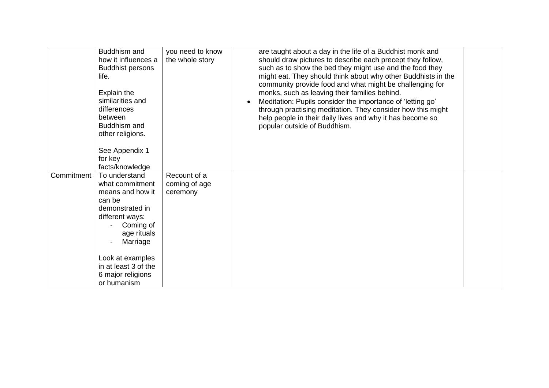|            | Buddhism and<br>how it influences a<br><b>Buddhist persons</b><br>life.<br>Explain the<br>similarities and<br>differences<br>between<br>Buddhism and<br>other religions.<br>See Appendix 1<br>for key<br>facts/knowledge     | you need to know<br>the whole story       | are taught about a day in the life of a Buddhist monk and<br>should draw pictures to describe each precept they follow,<br>such as to show the bed they might use and the food they<br>might eat. They should think about why other Buddhists in the<br>community provide food and what might be challenging for<br>monks, such as leaving their families behind.<br>Meditation: Pupils consider the importance of 'letting go'<br>through practising meditation. They consider how this might<br>help people in their daily lives and why it has become so<br>popular outside of Buddhism. |  |
|------------|------------------------------------------------------------------------------------------------------------------------------------------------------------------------------------------------------------------------------|-------------------------------------------|---------------------------------------------------------------------------------------------------------------------------------------------------------------------------------------------------------------------------------------------------------------------------------------------------------------------------------------------------------------------------------------------------------------------------------------------------------------------------------------------------------------------------------------------------------------------------------------------|--|
| Commitment | To understand<br>what commitment<br>means and how it<br>can be<br>demonstrated in<br>different ways:<br>Coming of<br>age rituals<br>Marriage<br>Look at examples<br>in at least 3 of the<br>6 major religions<br>or humanism | Recount of a<br>coming of age<br>ceremony |                                                                                                                                                                                                                                                                                                                                                                                                                                                                                                                                                                                             |  |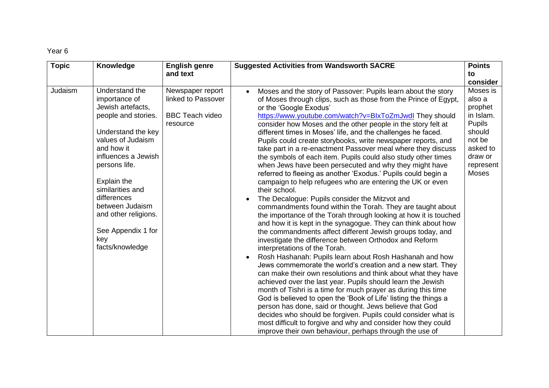| <b>Topic</b> | Knowledge                                                                                                                                                                                                                                                                                                                 | <b>English genre</b>                                                         | <b>Suggested Activities from Wandsworth SACRE</b>                                                                                                                                                                                                                                                                                                                                                                                                                                                                                                                                                                                                                                                                                                                                                                                                                                                                                                                                                                                                                                                                                                                                                                                                                                                                                                                                                                                                                                                                                                                                                                                                                                                                                                                                                                                                | <b>Points</b>                                                                                                                |
|--------------|---------------------------------------------------------------------------------------------------------------------------------------------------------------------------------------------------------------------------------------------------------------------------------------------------------------------------|------------------------------------------------------------------------------|--------------------------------------------------------------------------------------------------------------------------------------------------------------------------------------------------------------------------------------------------------------------------------------------------------------------------------------------------------------------------------------------------------------------------------------------------------------------------------------------------------------------------------------------------------------------------------------------------------------------------------------------------------------------------------------------------------------------------------------------------------------------------------------------------------------------------------------------------------------------------------------------------------------------------------------------------------------------------------------------------------------------------------------------------------------------------------------------------------------------------------------------------------------------------------------------------------------------------------------------------------------------------------------------------------------------------------------------------------------------------------------------------------------------------------------------------------------------------------------------------------------------------------------------------------------------------------------------------------------------------------------------------------------------------------------------------------------------------------------------------------------------------------------------------------------------------------------------------|------------------------------------------------------------------------------------------------------------------------------|
|              |                                                                                                                                                                                                                                                                                                                           | and text                                                                     |                                                                                                                                                                                                                                                                                                                                                                                                                                                                                                                                                                                                                                                                                                                                                                                                                                                                                                                                                                                                                                                                                                                                                                                                                                                                                                                                                                                                                                                                                                                                                                                                                                                                                                                                                                                                                                                  | to                                                                                                                           |
|              |                                                                                                                                                                                                                                                                                                                           |                                                                              |                                                                                                                                                                                                                                                                                                                                                                                                                                                                                                                                                                                                                                                                                                                                                                                                                                                                                                                                                                                                                                                                                                                                                                                                                                                                                                                                                                                                                                                                                                                                                                                                                                                                                                                                                                                                                                                  | consider                                                                                                                     |
| Judaism      | Understand the<br>importance of<br>Jewish artefacts,<br>people and stories.<br>Understand the key<br>values of Judaism<br>and how it<br>influences a Jewish<br>persons life.<br>Explain the<br>similarities and<br>differences<br>between Judaism<br>and other religions.<br>See Appendix 1 for<br>key<br>facts/knowledge | Newspaper report<br>linked to Passover<br><b>BBC Teach video</b><br>resource | Moses and the story of Passover: Pupils learn about the story<br>$\bullet$<br>of Moses through clips, such as those from the Prince of Egypt,<br>or the 'Google Exodus'<br>https://www.youtube.com/watch?v=BlxToZmJwdl They should<br>consider how Moses and the other people in the story felt at<br>different times in Moses' life, and the challenges he faced.<br>Pupils could create storybooks, write newspaper reports, and<br>take part in a re-enactment Passover meal where they discuss<br>the symbols of each item. Pupils could also study other times<br>when Jews have been persecuted and why they might have<br>referred to fleeing as another 'Exodus.' Pupils could begin a<br>campaign to help refugees who are entering the UK or even<br>their school.<br>The Decalogue: Pupils consider the Mitzvot and<br>commandments found within the Torah. They are taught about<br>the importance of the Torah through looking at how it is touched<br>and how it is kept in the synagogue. They can think about how<br>the commandments affect different Jewish groups today, and<br>investigate the difference between Orthodox and Reform<br>interpretations of the Torah.<br>Rosh Hashanah: Pupils learn about Rosh Hashanah and how<br>Jews commemorate the world's creation and a new start. They<br>can make their own resolutions and think about what they have<br>achieved over the last year. Pupils should learn the Jewish<br>month of Tishri is a time for much prayer as during this time<br>God is believed to open the 'Book of Life' listing the things a<br>person has done, said or thought. Jews believe that God<br>decides who should be forgiven. Pupils could consider what is<br>most difficult to forgive and why and consider how they could<br>improve their own behaviour, perhaps through the use of | Moses is<br>also a<br>prophet<br>in Islam.<br><b>Pupils</b><br>should<br>not be<br>asked to<br>draw or<br>represent<br>Moses |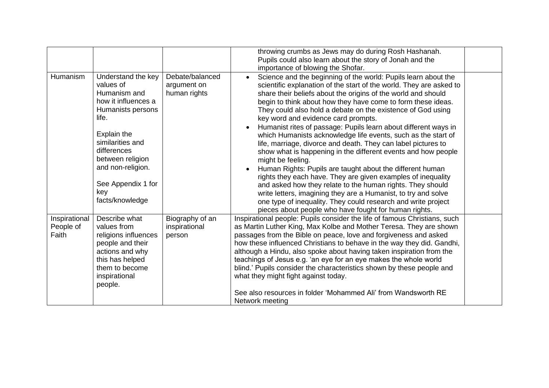|                                     |                                                                                                                                                                                                                                                 |                                                | throwing crumbs as Jews may do during Rosh Hashanah.<br>Pupils could also learn about the story of Jonah and the<br>importance of blowing the Shofar.                                                                                                                                                                                                                                                                                                                                                                                                                                                                                                                                                                                                                                                                                                                                                                                                                                                                                                          |  |
|-------------------------------------|-------------------------------------------------------------------------------------------------------------------------------------------------------------------------------------------------------------------------------------------------|------------------------------------------------|----------------------------------------------------------------------------------------------------------------------------------------------------------------------------------------------------------------------------------------------------------------------------------------------------------------------------------------------------------------------------------------------------------------------------------------------------------------------------------------------------------------------------------------------------------------------------------------------------------------------------------------------------------------------------------------------------------------------------------------------------------------------------------------------------------------------------------------------------------------------------------------------------------------------------------------------------------------------------------------------------------------------------------------------------------------|--|
| Humanism                            | Understand the key<br>values of<br>Humanism and<br>how it influences a<br>Humanists persons<br>life.<br>Explain the<br>similarities and<br>differences<br>between religion<br>and non-religion.<br>See Appendix 1 for<br>key<br>facts/knowledge | Debate/balanced<br>argument on<br>human rights | Science and the beginning of the world: Pupils learn about the<br>scientific explanation of the start of the world. They are asked to<br>share their beliefs about the origins of the world and should<br>begin to think about how they have come to form these ideas.<br>They could also hold a debate on the existence of God using<br>key word and evidence card prompts.<br>Humanist rites of passage: Pupils learn about different ways in<br>which Humanists acknowledge life events, such as the start of<br>life, marriage, divorce and death. They can label pictures to<br>show what is happening in the different events and how people<br>might be feeling.<br>Human Rights: Pupils are taught about the different human<br>rights they each have. They are given examples of inequality<br>and asked how they relate to the human rights. They should<br>write letters, imagining they are a Humanist, to try and solve<br>one type of inequality. They could research and write project<br>pieces about people who have fought for human rights. |  |
| Inspirational<br>People of<br>Faith | Describe what<br>values from<br>religions influences<br>people and their<br>actions and why<br>this has helped<br>them to become<br>inspirational<br>people.                                                                                    | Biography of an<br>inspirational<br>person     | Inspirational people: Pupils consider the life of famous Christians, such<br>as Martin Luther King, Max Kolbe and Mother Teresa. They are shown<br>passages from the Bible on peace, love and forgiveness and asked<br>how these influenced Christians to behave in the way they did. Gandhi,<br>although a Hindu, also spoke about having taken inspiration from the<br>teachings of Jesus e.g. 'an eye for an eye makes the whole world<br>blind.' Pupils consider the characteristics shown by these people and<br>what they might fight against today.<br>See also resources in folder 'Mohammed Ali' from Wandsworth RE<br>Network meeting                                                                                                                                                                                                                                                                                                                                                                                                                |  |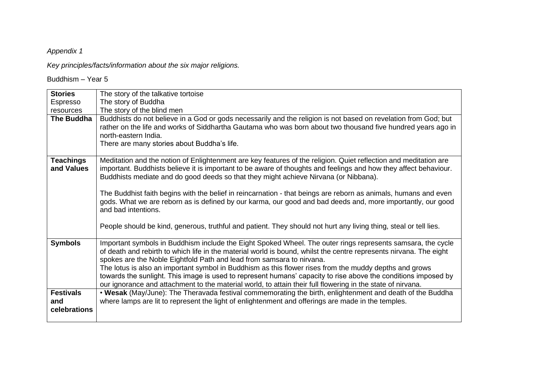*Key principles/facts/information about the six major religions.*

Buddhism – Year 5

| <b>Stories</b>                          | The story of the talkative tortoise                                                                                                                                                                                                                                                                                                                                                                                                                                                                                                                                                                                                                                                                        |
|-----------------------------------------|------------------------------------------------------------------------------------------------------------------------------------------------------------------------------------------------------------------------------------------------------------------------------------------------------------------------------------------------------------------------------------------------------------------------------------------------------------------------------------------------------------------------------------------------------------------------------------------------------------------------------------------------------------------------------------------------------------|
| Espresso                                | The story of Buddha                                                                                                                                                                                                                                                                                                                                                                                                                                                                                                                                                                                                                                                                                        |
| resources                               | The story of the blind men                                                                                                                                                                                                                                                                                                                                                                                                                                                                                                                                                                                                                                                                                 |
| The Buddha                              | Buddhists do not believe in a God or gods necessarily and the religion is not based on revelation from God; but<br>rather on the life and works of Siddhartha Gautama who was born about two thousand five hundred years ago in<br>north-eastern India.<br>There are many stories about Buddha's life.                                                                                                                                                                                                                                                                                                                                                                                                     |
| <b>Teachings</b><br>and Values          | Meditation and the notion of Enlightenment are key features of the religion. Quiet reflection and meditation are<br>important. Buddhists believe it is important to be aware of thoughts and feelings and how they affect behaviour.<br>Buddhists mediate and do good deeds so that they might achieve Nirvana (or Nibbana).<br>The Buddhist faith begins with the belief in reincarnation - that beings are reborn as animals, humans and even<br>gods. What we are reborn as is defined by our karma, our good and bad deeds and, more importantly, our good<br>and bad intentions.<br>People should be kind, generous, truthful and patient. They should not hurt any living thing, steal or tell lies. |
| <b>Symbols</b>                          | Important symbols in Buddhism include the Eight Spoked Wheel. The outer rings represents samsara, the cycle<br>of death and rebirth to which life in the material world is bound, whilst the centre represents nirvana. The eight<br>spokes are the Noble Eightfold Path and lead from samsara to nirvana.<br>The lotus is also an important symbol in Buddhism as this flower rises from the muddy depths and grows<br>towards the sunlight. This image is used to represent humans' capacity to rise above the conditions imposed by<br>our ignorance and attachment to the material world, to attain their full flowering in the state of nirvana.                                                      |
| <b>Festivals</b><br>and<br>celebrations | . Wesak (May/June): The Theravada festival commemorating the birth, enlightenment and death of the Buddha<br>where lamps are lit to represent the light of enlightenment and offerings are made in the temples.                                                                                                                                                                                                                                                                                                                                                                                                                                                                                            |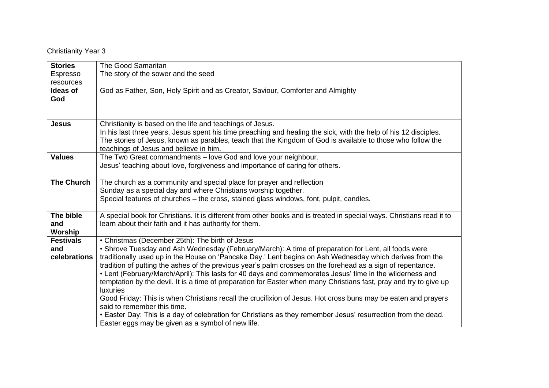Christianity Year 3

| <b>Stories</b>    | The Good Samaritan                                                                                                    |  |  |
|-------------------|-----------------------------------------------------------------------------------------------------------------------|--|--|
| Espresso          | The story of the sower and the seed                                                                                   |  |  |
| resources         |                                                                                                                       |  |  |
| <b>Ideas of</b>   | God as Father, Son, Holy Spirit and as Creator, Saviour, Comforter and Almighty                                       |  |  |
| God               |                                                                                                                       |  |  |
|                   |                                                                                                                       |  |  |
|                   |                                                                                                                       |  |  |
| <b>Jesus</b>      | Christianity is based on the life and teachings of Jesus.                                                             |  |  |
|                   | In his last three years, Jesus spent his time preaching and healing the sick, with the help of his 12 disciples.      |  |  |
|                   | The stories of Jesus, known as parables, teach that the Kingdom of God is available to those who follow the           |  |  |
|                   | teachings of Jesus and believe in him.                                                                                |  |  |
| <b>Values</b>     | The Two Great commandments - love God and love your neighbour.                                                        |  |  |
|                   | Jesus' teaching about love, forgiveness and importance of caring for others.                                          |  |  |
|                   |                                                                                                                       |  |  |
| <b>The Church</b> | The church as a community and special place for prayer and reflection                                                 |  |  |
|                   | Sunday as a special day and where Christians worship together.                                                        |  |  |
|                   | Special features of churches - the cross, stained glass windows, font, pulpit, candles.                               |  |  |
|                   |                                                                                                                       |  |  |
| The bible         | A special book for Christians. It is different from other books and is treated in special ways. Christians read it to |  |  |
| and               | learn about their faith and it has authority for them.                                                                |  |  |
| Worship           |                                                                                                                       |  |  |
| <b>Festivals</b>  | • Christmas (December 25th): The birth of Jesus                                                                       |  |  |
| and               | • Shrove Tuesday and Ash Wednesday (February/March): A time of preparation for Lent, all foods were                   |  |  |
| celebrations      | traditionally used up in the House on 'Pancake Day.' Lent begins on Ash Wednesday which derives from the              |  |  |
|                   | tradition of putting the ashes of the previous year's palm crosses on the forehead as a sign of repentance.           |  |  |
|                   | • Lent (February/March/April): This lasts for 40 days and commemorates Jesus' time in the wilderness and              |  |  |
|                   | temptation by the devil. It is a time of preparation for Easter when many Christians fast, pray and try to give up    |  |  |
|                   | <b>luxuries</b>                                                                                                       |  |  |
|                   | Good Friday: This is when Christians recall the crucifixion of Jesus. Hot cross buns may be eaten and prayers         |  |  |
|                   | said to remember this time.                                                                                           |  |  |
|                   | . Easter Day: This is a day of celebration for Christians as they remember Jesus' resurrection from the dead.         |  |  |
|                   | Easter eggs may be given as a symbol of new life.                                                                     |  |  |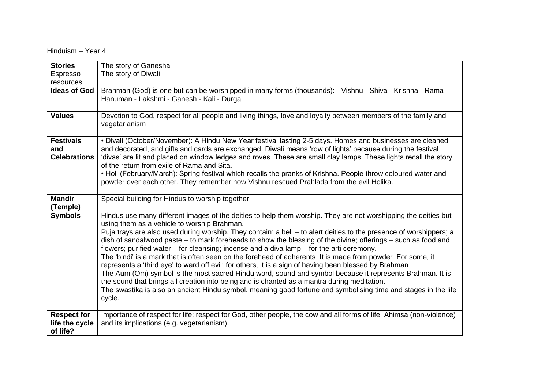Hinduism – Year 4

| <b>Stories</b>                                   | The story of Ganesha                                                                                                                                                                                                                                                                                                                                                                                                                                                                                                                                                                                                                                                                                                                                                                                                                                                                                                                                                                                                                                              |
|--------------------------------------------------|-------------------------------------------------------------------------------------------------------------------------------------------------------------------------------------------------------------------------------------------------------------------------------------------------------------------------------------------------------------------------------------------------------------------------------------------------------------------------------------------------------------------------------------------------------------------------------------------------------------------------------------------------------------------------------------------------------------------------------------------------------------------------------------------------------------------------------------------------------------------------------------------------------------------------------------------------------------------------------------------------------------------------------------------------------------------|
| Espresso                                         | The story of Diwali                                                                                                                                                                                                                                                                                                                                                                                                                                                                                                                                                                                                                                                                                                                                                                                                                                                                                                                                                                                                                                               |
| resources                                        |                                                                                                                                                                                                                                                                                                                                                                                                                                                                                                                                                                                                                                                                                                                                                                                                                                                                                                                                                                                                                                                                   |
| <b>Ideas of God</b>                              | Brahman (God) is one but can be worshipped in many forms (thousands): - Vishnu - Shiva - Krishna - Rama -<br>Hanuman - Lakshmi - Ganesh - Kali - Durga                                                                                                                                                                                                                                                                                                                                                                                                                                                                                                                                                                                                                                                                                                                                                                                                                                                                                                            |
| <b>Values</b>                                    | Devotion to God, respect for all people and living things, love and loyalty between members of the family and<br>vegetarianism                                                                                                                                                                                                                                                                                                                                                                                                                                                                                                                                                                                                                                                                                                                                                                                                                                                                                                                                    |
| <b>Festivals</b><br>and<br><b>Celebrations</b>   | • Divali (October/November): A Hindu New Year festival lasting 2-5 days. Homes and businesses are cleaned<br>and decorated, and gifts and cards are exchanged. Diwali means 'row of lights' because during the festival<br>'divas' are lit and placed on window ledges and roves. These are small clay lamps. These lights recall the story<br>of the return from exile of Rama and Sita.                                                                                                                                                                                                                                                                                                                                                                                                                                                                                                                                                                                                                                                                         |
|                                                  | • Holi (February/March): Spring festival which recalls the pranks of Krishna. People throw coloured water and<br>powder over each other. They remember how Vishnu rescued Prahlada from the evil Holika.                                                                                                                                                                                                                                                                                                                                                                                                                                                                                                                                                                                                                                                                                                                                                                                                                                                          |
| <b>Mandir</b>                                    | Special building for Hindus to worship together                                                                                                                                                                                                                                                                                                                                                                                                                                                                                                                                                                                                                                                                                                                                                                                                                                                                                                                                                                                                                   |
| (Temple)                                         |                                                                                                                                                                                                                                                                                                                                                                                                                                                                                                                                                                                                                                                                                                                                                                                                                                                                                                                                                                                                                                                                   |
| <b>Symbols</b>                                   | Hindus use many different images of the deities to help them worship. They are not worshipping the deities but<br>using them as a vehicle to worship Brahman.<br>Puja trays are also used during worship. They contain: a bell - to alert deities to the presence of worshippers; a<br>dish of sandalwood paste – to mark foreheads to show the blessing of the divine; offerings – such as food and<br>flowers; purified water – for cleansing; incense and a diva lamp – for the arti ceremony.<br>The 'bindi' is a mark that is often seen on the forehead of adherents. It is made from powder. For some, it<br>represents a 'third eye' to ward off evil; for others, it is a sign of having been blessed by Brahman.<br>The Aum (Om) symbol is the most sacred Hindu word, sound and symbol because it represents Brahman. It is<br>the sound that brings all creation into being and is chanted as a mantra during meditation.<br>The swastika is also an ancient Hindu symbol, meaning good fortune and symbolising time and stages in the life<br>cycle. |
| <b>Respect for</b><br>life the cycle<br>of life? | Importance of respect for life; respect for God, other people, the cow and all forms of life; Ahimsa (non-violence)<br>and its implications (e.g. vegetarianism).                                                                                                                                                                                                                                                                                                                                                                                                                                                                                                                                                                                                                                                                                                                                                                                                                                                                                                 |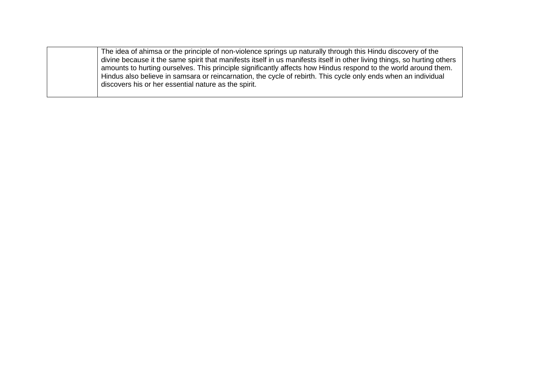The idea of ahimsa or the principle of non-violence springs up naturally through this Hindu discovery of the divine because it the same spirit that manifests itself in us manifests itself in other living things, so hurting others amounts to hurting ourselves. This principle significantly affects how Hindus respond to the world around them. Hindus also believe in samsara or reincarnation, the cycle of rebirth. This cycle only ends when an individual discovers his or her essential nature as the spirit.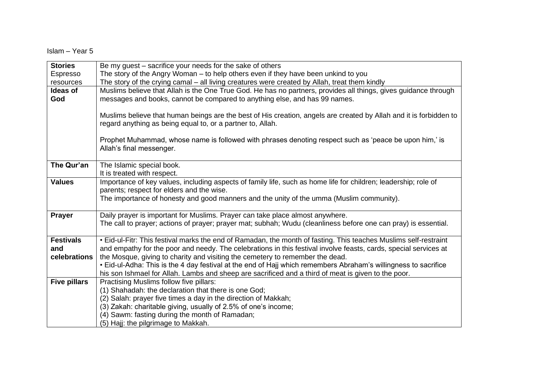Islam – Year 5

| <b>Stories</b>      | Be my guest – sacrifice your needs for the sake of others                                                                                                                                     |  |  |
|---------------------|-----------------------------------------------------------------------------------------------------------------------------------------------------------------------------------------------|--|--|
| Espresso            | The story of the Angry Woman – to help others even if they have been unkind to you                                                                                                            |  |  |
| resources           | The story of the crying camal - all living creatures were created by Allah, treat them kindly                                                                                                 |  |  |
| Ideas of<br>God     | Muslims believe that Allah is the One True God. He has no partners, provides all things, gives guidance through<br>messages and books, cannot be compared to anything else, and has 99 names. |  |  |
|                     | Muslims believe that human beings are the best of His creation, angels are created by Allah and it is forbidden to<br>regard anything as being equal to, or a partner to, Allah.              |  |  |
|                     | Prophet Muhammad, whose name is followed with phrases denoting respect such as 'peace be upon him,' is<br>Allah's final messenger.                                                            |  |  |
| The Qur'an          | The Islamic special book.<br>It is treated with respect.                                                                                                                                      |  |  |
| <b>Values</b>       | Importance of key values, including aspects of family life, such as home life for children; leadership; role of<br>parents; respect for elders and the wise.                                  |  |  |
|                     | The importance of honesty and good manners and the unity of the umma (Muslim community).                                                                                                      |  |  |
| <b>Prayer</b>       | Daily prayer is important for Muslims. Prayer can take place almost anywhere.                                                                                                                 |  |  |
|                     | The call to prayer; actions of prayer; prayer mat; subhah; Wudu (cleanliness before one can pray) is essential.                                                                               |  |  |
| <b>Festivals</b>    | • Eid-ul-Fitr: This festival marks the end of Ramadan, the month of fasting. This teaches Muslims self-restraint                                                                              |  |  |
| and                 | and empathy for the poor and needy. The celebrations in this festival involve feasts, cards, special services at                                                                              |  |  |
| celebrations        | the Mosque, giving to charity and visiting the cemetery to remember the dead.                                                                                                                 |  |  |
|                     | • Eid-ul-Adha: This is the 4 day festival at the end of Hajj which remembers Abraham's willingness to sacrifice                                                                               |  |  |
|                     | his son Ishmael for Allah. Lambs and sheep are sacrificed and a third of meat is given to the poor.                                                                                           |  |  |
| <b>Five pillars</b> | Practising Muslims follow five pillars:                                                                                                                                                       |  |  |
|                     | (1) Shahadah: the declaration that there is one God;                                                                                                                                          |  |  |
|                     | (2) Salah: prayer five times a day in the direction of Makkah;                                                                                                                                |  |  |
|                     | (3) Zakah: charitable giving, usually of 2.5% of one's income;                                                                                                                                |  |  |
|                     | (4) Sawm: fasting during the month of Ramadan;<br>(5) Hajj: the pilgrimage to Makkah.                                                                                                         |  |  |
|                     |                                                                                                                                                                                               |  |  |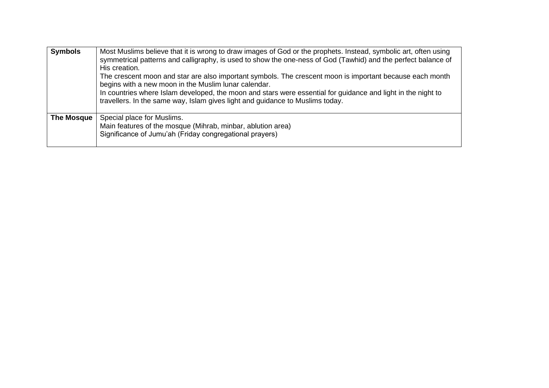| <b>Symbols</b> | Most Muslims believe that it is wrong to draw images of God or the prophets. Instead, symbolic art, often using<br>symmetrical patterns and calligraphy, is used to show the one-ness of God (Tawhid) and the perfect balance of<br>His creation.                                                                                                                 |
|----------------|-------------------------------------------------------------------------------------------------------------------------------------------------------------------------------------------------------------------------------------------------------------------------------------------------------------------------------------------------------------------|
|                | The crescent moon and star are also important symbols. The crescent moon is important because each month<br>begins with a new moon in the Muslim lunar calendar.<br>In countries where Islam developed, the moon and stars were essential for guidance and light in the night to<br>travellers. In the same way, Islam gives light and guidance to Muslims today. |
| The Mosque     | Special place for Muslims.<br>Main features of the mosque (Mihrab, minbar, ablution area)<br>Significance of Jumu'ah (Friday congregational prayers)                                                                                                                                                                                                              |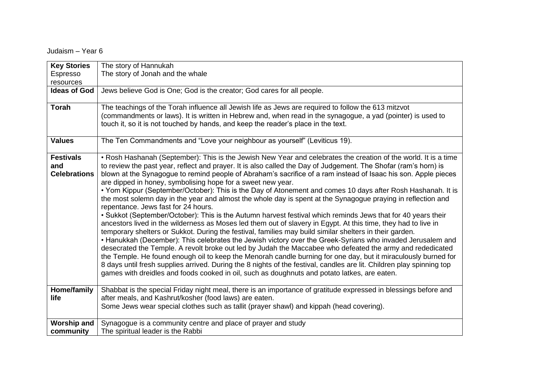Judaism – Year 6

| <b>Key Stories</b>  | The story of Hannukah                                                                                                 |  |  |
|---------------------|-----------------------------------------------------------------------------------------------------------------------|--|--|
| Espresso            | The story of Jonah and the whale                                                                                      |  |  |
| resources           |                                                                                                                       |  |  |
| <b>Ideas of God</b> | Jews believe God is One; God is the creator; God cares for all people.                                                |  |  |
|                     |                                                                                                                       |  |  |
| <b>Torah</b>        | The teachings of the Torah influence all Jewish life as Jews are required to follow the 613 mitzvot                   |  |  |
|                     | (commandments or laws). It is written in Hebrew and, when read in the synagogue, a yad (pointer) is used to           |  |  |
|                     | touch it, so it is not touched by hands, and keep the reader's place in the text.                                     |  |  |
|                     |                                                                                                                       |  |  |
| <b>Values</b>       | The Ten Commandments and "Love your neighbour as yourself" (Leviticus 19).                                            |  |  |
|                     |                                                                                                                       |  |  |
| <b>Festivals</b>    | • Rosh Hashanah (September): This is the Jewish New Year and celebrates the creation of the world. It is a time       |  |  |
| and                 | to review the past year, reflect and prayer. It is also called the Day of Judgement. The Shofar (ram's horn) is       |  |  |
| <b>Celebrations</b> | blown at the Synagogue to remind people of Abraham's sacrifice of a ram instead of Isaac his son. Apple pieces        |  |  |
|                     | are dipped in honey, symbolising hope for a sweet new year.                                                           |  |  |
|                     | • Yom Kippur (September/October): This is the Day of Atonement and comes 10 days after Rosh Hashanah. It is           |  |  |
|                     | the most solemn day in the year and almost the whole day is spent at the Synagogue praying in reflection and          |  |  |
|                     | repentance. Jews fast for 24 hours.                                                                                   |  |  |
|                     | • Sukkot (September/October): This is the Autumn harvest festival which reminds Jews that for 40 years their          |  |  |
|                     | ancestors lived in the wilderness as Moses led them out of slavery in Egypt. At this time, they had to live in        |  |  |
|                     | temporary shelters or Sukkot. During the festival, families may build similar shelters in their garden.               |  |  |
|                     | • Hanukkah (December): This celebrates the Jewish victory over the Greek-Syrians who invaded Jerusalem and            |  |  |
|                     | desecrated the Temple. A revolt broke out led by Judah the Maccabee who defeated the army and rededicated             |  |  |
|                     | the Temple. He found enough oil to keep the Menorah candle burning for one day, but it miraculously burned for        |  |  |
|                     | 8 days until fresh supplies arrived. During the 8 nights of the festival, candles are lit. Children play spinning top |  |  |
|                     | games with dreidles and foods cooked in oil, such as doughnuts and potato latkes, are eaten.                          |  |  |
|                     |                                                                                                                       |  |  |
| Home/family         | Shabbat is the special Friday night meal, there is an importance of gratitude expressed in blessings before and       |  |  |
| life                | after meals, and Kashrut/kosher (food laws) are eaten.                                                                |  |  |
|                     | Some Jews wear special clothes such as tallit (prayer shawl) and kippah (head covering).                              |  |  |
|                     |                                                                                                                       |  |  |
| <b>Worship and</b>  | Synagogue is a community centre and place of prayer and study                                                         |  |  |
| community           | The spiritual leader is the Rabbi                                                                                     |  |  |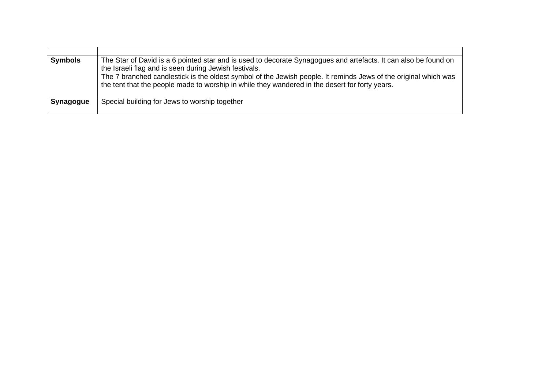| <b>Symbols</b> | The Star of David is a 6 pointed star and is used to decorate Synagogues and artefacts. It can also be found on<br>the Israeli flag and is seen during Jewish festivals.<br>The 7 branched candlestick is the oldest symbol of the Jewish people. It reminds Jews of the original which was<br>the tent that the people made to worship in while they wandered in the desert for forty years. |
|----------------|-----------------------------------------------------------------------------------------------------------------------------------------------------------------------------------------------------------------------------------------------------------------------------------------------------------------------------------------------------------------------------------------------|
| Synagogue      | Special building for Jews to worship together                                                                                                                                                                                                                                                                                                                                                 |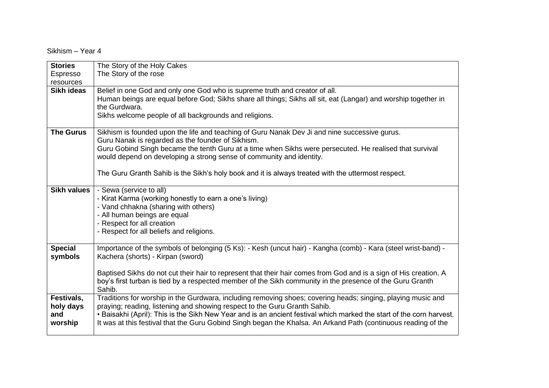Sikhism – Year 4

| <b>Stories</b>     | The Story of the Holy Cakes                                                                                          |
|--------------------|----------------------------------------------------------------------------------------------------------------------|
| Espresso           | The Story of the rose                                                                                                |
| resources          |                                                                                                                      |
| Sikh ideas         | Belief in one God and only one God who is supreme truth and creator of all.                                          |
|                    | Human beings are equal before God; Sikhs share all things; Sikhs all sit, eat (Langar) and worship together in       |
|                    | the Gurdwara.                                                                                                        |
|                    | Sikhs welcome people of all backgrounds and religions.                                                               |
|                    |                                                                                                                      |
| <b>The Gurus</b>   | Sikhism is founded upon the life and teaching of Guru Nanak Dev Ji and nine successive gurus.                        |
|                    | Guru Nanak is regarded as the founder of Sikhism.                                                                    |
|                    | Guru Gobind Singh became the tenth Guru at a time when Sikhs were persecuted. He realised that survival              |
|                    | would depend on developing a strong sense of community and identity.                                                 |
|                    |                                                                                                                      |
|                    | The Guru Granth Sahib is the Sikh's holy book and it is always treated with the uttermost respect.                   |
| <b>Sikh values</b> | - Sewa (service to all)                                                                                              |
|                    | - Kirat Karma (working honestly to earn a one's living)                                                              |
|                    | - Vand chhakna (sharing with others)                                                                                 |
|                    | - All human beings are equal                                                                                         |
|                    | - Respect for all creation                                                                                           |
|                    | - Respect for all beliefs and religions.                                                                             |
|                    |                                                                                                                      |
| <b>Special</b>     | Importance of the symbols of belonging (5 Ks): - Kesh (uncut hair) - Kangha (comb) - Kara (steel wrist-band) -       |
| symbols            | Kachera (shorts) - Kirpan (sword)                                                                                    |
|                    |                                                                                                                      |
|                    | Baptised Sikhs do not cut their hair to represent that their hair comes from God and is a sign of His creation. A    |
|                    | boy's first turban is tied by a respected member of the Sikh community in the presence of the Guru Granth            |
|                    | Sahib.                                                                                                               |
| Festivals,         | Traditions for worship in the Gurdwara, including removing shoes; covering heads; singing, playing music and         |
| holy days          | praying; reading, listening and showing respect to the Guru Granth Sahib.                                            |
| and                | • Baisakhi (April): This is the Sikh New Year and is an ancient festival which marked the start of the corn harvest. |
| worship            | It was at this festival that the Guru Gobind Singh began the Khalsa. An Arkand Path (continuous reading of the       |
|                    |                                                                                                                      |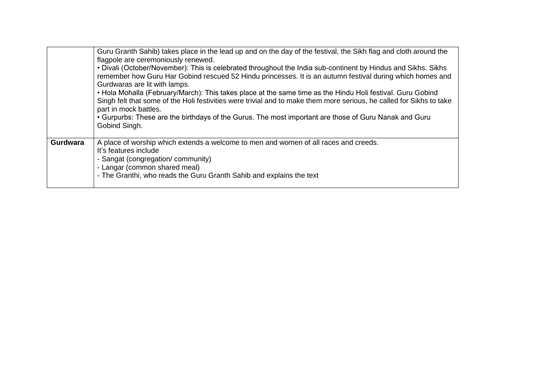|                 | Guru Granth Sahib) takes place in the lead up and on the day of the festival, the Sikh flag and cloth around the<br>flagpole are ceremoniously renewed.<br>• Divali (October/November): This is celebrated throughout the India sub-continent by Hindus and Sikhs. Sikhs<br>remember how Guru Har Gobind rescued 52 Hindu princesses. It is an autumn festival during which homes and<br>Gurdwaras are lit with lamps.<br>• Hola Mohalla (February/March): This takes place at the same time as the Hindu Holi festival. Guru Gobind<br>Singh felt that some of the Holi festivities were trivial and to make them more serious, he called for Sikhs to take<br>part in mock battles.<br>• Gurpurbs: These are the birthdays of the Gurus. The most important are those of Guru Nanak and Guru<br>Gobind Singh. |
|-----------------|-----------------------------------------------------------------------------------------------------------------------------------------------------------------------------------------------------------------------------------------------------------------------------------------------------------------------------------------------------------------------------------------------------------------------------------------------------------------------------------------------------------------------------------------------------------------------------------------------------------------------------------------------------------------------------------------------------------------------------------------------------------------------------------------------------------------|
| <b>Gurdwara</b> | A place of worship which extends a welcome to men and women of all races and creeds.<br>It's features include<br>- Sangat (congregation/community)<br>- Langar (common shared meal)<br>- The Granthi, who reads the Guru Granth Sahib and explains the text                                                                                                                                                                                                                                                                                                                                                                                                                                                                                                                                                     |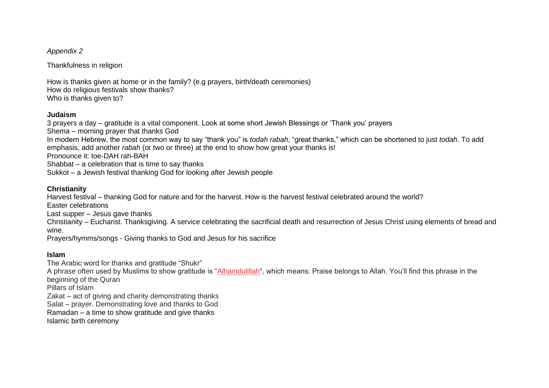Thankfulness in religion

How is thanks given at home or in the family? (e.g prayers, birth/death ceremonies) How do religious festivals show thanks? Who is thanks given to?

#### **Judaism**

3 prayers a day – gratitude is a vital component. Look at some short Jewish Blessings or 'Thank you' prayers Shema – morning prayer that thanks God In modern Hebrew, the most common way to say "thank you" is *todah rabah*, "great thanks," which can be shortened to just *todah*. To add emphasis, add another *rabah* (or two or three) at the end to show how great your thanks is! Pronounce it: toe-DAH rah-BAH Shabbat – a celebration that is time to say thanks Sukkot – a Jewish festival thanking God for looking after Jewish people

#### **Christianity**

Harvest festival – thanking God for nature and for the harvest. How is the harvest festival celebrated around the world?

Easter celebrations

Last supper – Jesus gave thanks

Christianity – Eucharist. Thanksgiving. A service celebrating the sacrificial death and resurrection of Jesus Christ using elements of bread and wine.

Prayers/hymms/songs - Giving thanks to God and Jesus for his sacrifice

### **Islam**

The Arabic word for thanks and gratitude "Shukr" A phrase often used by Muslims to show gratitude is ["Alhamdulillah"](https://islamfaith.com/essential-arabic-words-help-understand-islam/), which means: Praise belongs to Allah. You'll find this phrase in the beginning of the Quran Pillars of Islam Zakat – act of giving and charity demonstrating thanks Salat – prayer. Demonstrating love and thanks to God Ramadan – a time to show gratitude and give thanks Islamic birth ceremony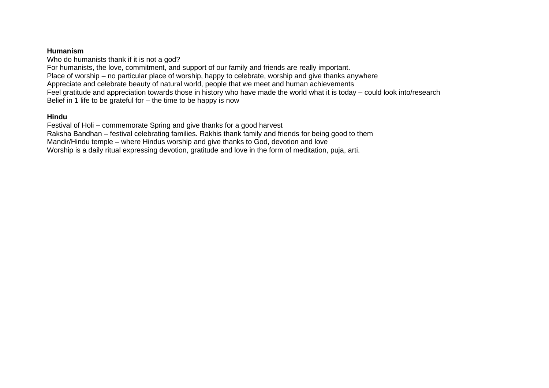#### **Humanism**

Who do humanists thank if it is not a god? For humanists, the love, commitment, and support of our family and friends are really important. Place of worship – no particular place of worship, happy to celebrate, worship and give thanks anywhere Appreciate and celebrate beauty of natural world, people that we meet and human achievements Feel gratitude and appreciation towards those in history who have made the world what it is today – could look into/research Belief in 1 life to be grateful for  $-$  the time to be happy is now

#### **Hindu**

Festival of Holi – commemorate Spring and give thanks for a good harvest Raksha Bandhan – festival celebrating families. Rakhis thank family and friends for being good to them Mandir/Hindu temple – where Hindus worship and give thanks to God, devotion and love Worship is a daily ritual expressing devotion, gratitude and love in the form of meditation, puja, arti.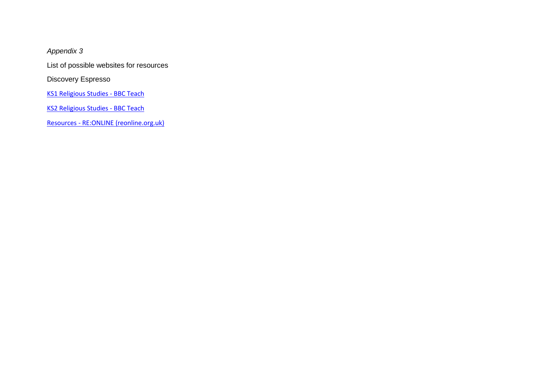List of possible websites for resources

Discovery Espresso

[KS1 Religious Studies -](https://www.bbc.co.uk/teach/ks1-religious-studies/zmtvwty) BBC Teach

[KS2 Religious Studies -](https://www.bbc.co.uk/teach/ks2-religious-studies/z6pbqp3) BBC Teach

Resources - [RE:ONLINE \(reonline.org.uk\)](https://www.reonline.org.uk/teaching-resources/)